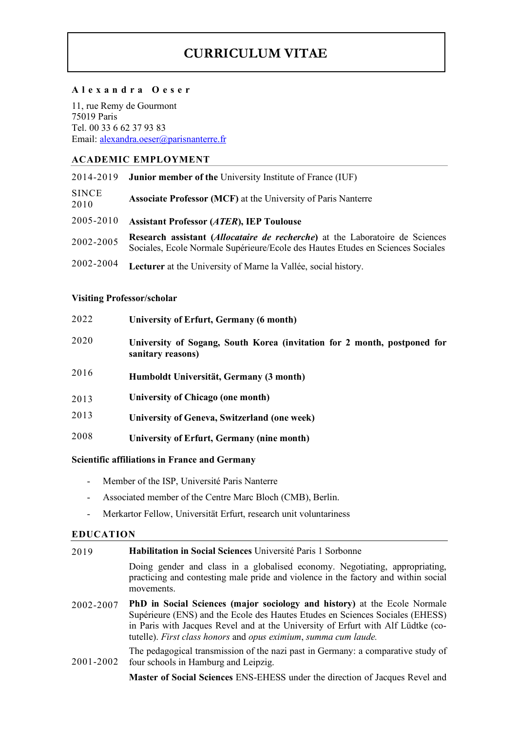# **CURRICULUM VITAE**

#### **Alexandra Oeser**

11, rue Remy de Gourmont 75019 Paris Tel. 00 33 6 62 37 93 83 Email: alexandra.oeser@parisnanterre.fr

## **ACADEMIC EMPLOYMENT**

| 2014-2019            | <b>Junior member of the University Institute of France (IUF)</b>                                                                                                         |
|----------------------|--------------------------------------------------------------------------------------------------------------------------------------------------------------------------|
| <b>SINCE</b><br>2010 | <b>Associate Professor (MCF)</b> at the University of Paris Nanterre                                                                                                     |
| 2005-2010            | <b>Assistant Professor (ATER), IEP Toulouse</b>                                                                                                                          |
| 2002-2005            | Research assistant ( <i>Allocataire de recherche</i> ) at the Laboratoire de Sciences<br>Sociales, Ecole Normale Supérieure/Ecole des Hautes Etudes en Sciences Sociales |
| 2002-2004            | Lecturer at the University of Marne la Vallée, social history.                                                                                                           |

### **Visiting Professor/scholar**

| 2022 | University of Erfurt, Germany (6 month)                                                       |
|------|-----------------------------------------------------------------------------------------------|
| 2020 | University of Sogang, South Korea (invitation for 2 month, postponed for<br>sanitary reasons) |
| 2016 | Humboldt Universität, Germany (3 month)                                                       |
| 2013 | University of Chicago (one month)                                                             |
| 2013 | University of Geneva, Switzerland (one week)                                                  |
| 2008 | University of Erfurt, Germany (nine month)                                                    |
|      |                                                                                               |

### **Scientific affiliations in France and Germany**

- Member of the ISP, Université Paris Nanterre
- Associated member of the Centre Marc Bloch (CMB), Berlin.
- Merkartor Fellow, Universität Erfurt, research unit voluntariness

#### **EDUCATION**

| 2019 | <b>Habilitation in Social Sciences</b> Université Paris 1 Sorbonne |
|------|--------------------------------------------------------------------|
|      |                                                                    |

Doing gender and class in a globalised economy. Negotiating, appropriating, practicing and contesting male pride and violence in the factory and within social movements.

2002-2007 **PhD in Social Sciences (major sociology and history)** at the Ecole Normale Supérieure (ENS) and the Ecole des Hautes Etudes en Sciences Sociales (EHESS) in Paris with Jacques Revel and at the University of Erfurt with Alf Lüdtke (cotutelle). *First class honors* and *opus eximium*, *summa cum laude.*

2001-2002 The pedagogical transmission of the nazi past in Germany: a comparative study of four schools in Hamburg and Leipzig.

**Master of Social Sciences** ENS-EHESS under the direction of Jacques Revel and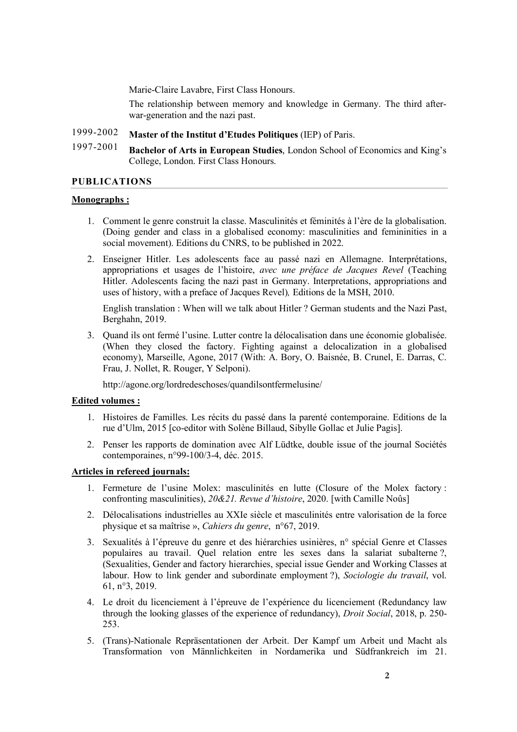Marie-Claire Lavabre, First Class Honours.

The relationship between memory and knowledge in Germany. The third afterwar-generation and the nazi past.

#### 1999-2002 **Master of the Institut d'Etudes Politiques** (IEP) of Paris.

1997-2001 **Bachelor of Arts in European Studies**, London School of Economics and King's College, London. First Class Honours.

#### **PUBLICATIONS**

#### **Monographs :**

- 1. Comment le genre construit la classe. Masculinités et féminités à l'ère de la globalisation. (Doing gender and class in a globalised economy: masculinities and femininities in a social movement). Editions du CNRS, to be published in 2022.
- 2. Enseigner Hitler. Les adolescents face au passé nazi en Allemagne. Interprétations, appropriations et usages de l'histoire, *avec une préface de Jacques Revel* (Teaching Hitler. Adolescents facing the nazi past in Germany. Interpretations, appropriations and uses of history, with a preface of Jacques Revel)*,* Editions de la MSH, 2010.

English translation : When will we talk about Hitler ? German students and the Nazi Past, Berghahn, 2019.

3. Quand ils ont fermé l'usine. Lutter contre la délocalisation dans une économie globalisée. (When they closed the factory. Fighting against a delocalization in a globalised economy), Marseille, Agone, 2017 (With: A. Bory, O. Baisnée, B. Crunel, E. Darras, C. Frau, J. Nollet, R. Rouger, Y Selponi).

http://agone.org/lordredeschoses/quandilsontfermelusine/

#### **Edited volumes :**

- 1. Histoires de Familles. Les récits du passé dans la parenté contemporaine. Editions de la rue d'Ulm, 2015 [co-editor with Solène Billaud, Sibylle Gollac et Julie Pagis].
- 2. Penser les rapports de domination avec Alf Lüdtke, double issue of the journal Sociétés contemporaines, n°99-100/3-4, déc. 2015.

### **Articles in refereed journals:**

- 1. Fermeture de l'usine Molex: masculinités en lutte (Closure of the Molex factory : confronting masculinities), *20&21. Revue d'histoire*, 2020. [with Camille Noûs]
- 2. Délocalisations industrielles au XXIe siècle et masculinités entre valorisation de la force physique et sa maîtrise », *Cahiers du genre*, n°67, 2019.
- 3. Sexualités à l'épreuve du genre et des hiérarchies usinières, n° spécial Genre et Classes populaires au travail. Quel relation entre les sexes dans la salariat subalterne ?, (Sexualities, Gender and factory hierarchies, special issue Gender and Working Classes at labour. How to link gender and subordinate employment ?), *Sociologie du travail*, vol. 61, n°3, 2019.
- 4. Le droit du licenciement à l'épreuve de l'expérience du licenciement (Redundancy law through the looking glasses of the experience of redundancy), *Droit Social*, 2018, p. 250- 253.
- 5. (Trans)-Nationale Repräsentationen der Arbeit. Der Kampf um Arbeit und Macht als Transformation von Männlichkeiten in Nordamerika und Südfrankreich im 21.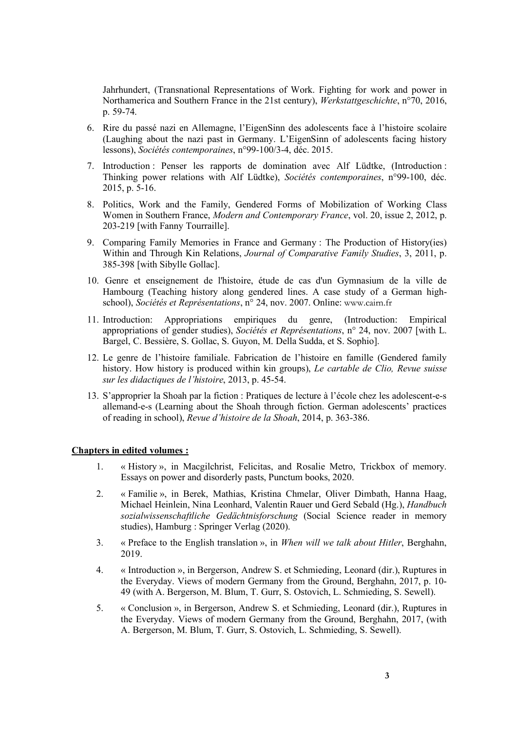Jahrhundert, (Transnational Representations of Work. Fighting for work and power in Northamerica and Southern France in the 21st century), *Werkstattgeschichte*, n°70, 2016, p. 59-74.

- 6. Rire du passé nazi en Allemagne, l'EigenSinn des adolescents face à l'histoire scolaire (Laughing about the nazi past in Germany. L'EigenSinn of adolescents facing history lessons), *Sociétés contemporaines*, n°99-100/3-4, déc. 2015.
- 7. Introduction : Penser les rapports de domination avec Alf Lüdtke, (Introduction : Thinking power relations with Alf Lüdtke), *Sociétés contemporaines*, n°99-100, déc. 2015, p. 5-16.
- 8. Politics, Work and the Family, Gendered Forms of Mobilization of Working Class Women in Southern France, *Modern and Contemporary France*, vol. 20, issue 2, 2012, p. 203-219 [with Fanny Tourraille].
- 9. Comparing Family Memories in France and Germany : The Production of History(ies) Within and Through Kin Relations, *Journal of Comparative Family Studies*, 3, 2011, p. 385-398 [with Sibylle Gollac].
- 10. Genre et enseignement de l'histoire, étude de cas d'un Gymnasium de la ville de Hambourg (Teaching history along gendered lines. A case study of a German highschool), *Sociétés et Représentations*, n° 24, nov. 2007. Online: www.cairn.fr
- 11. Introduction: Appropriations empiriques du genre, (Introduction: Empirical appropriations of gender studies), *Sociétés et Représentations*, n° 24, nov. 2007 [with L. Bargel, C. Bessière, S. Gollac, S. Guyon, M. Della Sudda, et S. Sophio].
- 12. Le genre de l'histoire familiale. Fabrication de l'histoire en famille (Gendered family history. How history is produced within kin groups), *Le cartable de Clio, Revue suisse sur les didactiques de l'histoire*, 2013, p. 45-54.
- 13. S'approprier la Shoah par la fiction : Pratiques de lecture à l'école chez les adolescent-e-s allemand-e-s (Learning about the Shoah through fiction. German adolescents' practices of reading in school), *Revue d'histoire de la Shoah*, 2014, p. 363-386.

#### **Chapters in edited volumes :**

- 1. « History », in Macgilchrist, Felicitas, and Rosalie Metro, Trickbox of memory. Essays on power and disorderly pasts, Punctum books, 2020.
- 2. « Familie », in Berek, Mathias, Kristina Chmelar, Oliver Dimbath, Hanna Haag, Michael Heinlein, Nina Leonhard, Valentin Rauer und Gerd Sebald (Hg.), *Handbuch sozialwissenschaftliche Gedächtnisforschung* (Social Science reader in memory studies), Hamburg : Springer Verlag (2020).
- 3. « Preface to the English translation », in *When will we talk about Hitler*, Berghahn, 2019.
- 4. « Introduction », in Bergerson, Andrew S. et Schmieding, Leonard (dir.), Ruptures in the Everyday. Views of modern Germany from the Ground, Berghahn, 2017, p. 10- 49 (with A. Bergerson, M. Blum, T. Gurr, S. Ostovich, L. Schmieding, S. Sewell).
- 5. « Conclusion », in Bergerson, Andrew S. et Schmieding, Leonard (dir.), Ruptures in the Everyday. Views of modern Germany from the Ground, Berghahn, 2017, (with A. Bergerson, M. Blum, T. Gurr, S. Ostovich, L. Schmieding, S. Sewell).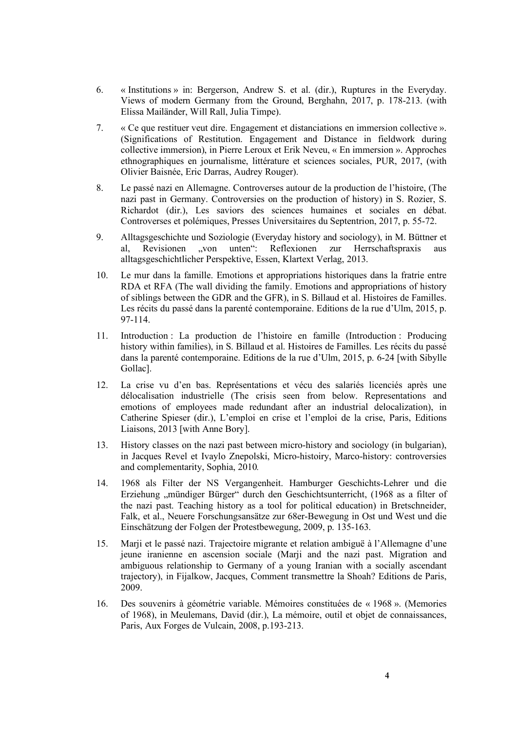- 6. « Institutions » in: Bergerson, Andrew S. et al. (dir.), Ruptures in the Everyday. Views of modern Germany from the Ground, Berghahn, 2017, p. 178-213. (with Elissa Mailänder, Will Rall, Julia Timpe).
- 7. « Ce que restituer veut dire. Engagement et distanciations en immersion collective ». (Significations of Restitution. Engagement and Distance in fieldwork during collective immersion), in Pierre Leroux et Erik Neveu, « En immersion ». Approches ethnographiques en journalisme, littérature et sciences sociales, PUR, 2017, (with Olivier Baisnée, Eric Darras, Audrey Rouger).
- 8. Le passé nazi en Allemagne. Controverses autour de la production de l'histoire, (The nazi past in Germany. Controversies on the production of history) in S. Rozier, S. Richardot (dir.), Les saviors des sciences humaines et sociales en débat. Controverses et polémiques, Presses Universitaires du Septentrion, 2017, p. 55-72.
- 9. Alltagsgeschichte und Soziologie (Everyday history and sociology), in M. Büttner et al, Revisionen "von unten": Reflexionen zur Herrschaftspraxis aus alltagsgeschichtlicher Perspektive, Essen, Klartext Verlag, 2013.
- 10. Le mur dans la famille. Emotions et appropriations historiques dans la fratrie entre RDA et RFA (The wall dividing the family. Emotions and appropriations of history of siblings between the GDR and the GFR), in S. Billaud et al. Histoires de Familles. Les récits du passé dans la parenté contemporaine. Editions de la rue d'Ulm, 2015, p. 97-114.
- 11. Introduction : La production de l'histoire en famille (Introduction : Producing history within families), in S. Billaud et al. Histoires de Familles. Les récits du passé dans la parenté contemporaine. Editions de la rue d'Ulm, 2015, p. 6-24 [with Sibylle Gollac].
- 12. La crise vu d'en bas. Représentations et vécu des salariés licenciés après une délocalisation industrielle (The crisis seen from below. Representations and emotions of employees made redundant after an industrial delocalization), in Catherine Spieser (dir.), L'emploi en crise et l'emploi de la crise, Paris, Editions Liaisons, 2013 [with Anne Bory].
- 13. History classes on the nazi past between micro-history and sociology (in bulgarian), in Jacques Revel et Ivaylo Znepolski, Micro-histoiry, Marco-history: controversies and complementarity, Sophia, 2010*.*
- 14. 1968 als Filter der NS Vergangenheit. Hamburger Geschichts-Lehrer und die Erziehung "mündiger Bürger" durch den Geschichtsunterricht, (1968 as a filter of the nazi past. Teaching history as a tool for political education) in Bretschneider, Falk, et al., Neuere Forschungsansätze zur 68er-Bewegung in Ost und West und die Einschätzung der Folgen der Protestbewegung, 2009, p. 135-163.
- 15. Marji et le passé nazi. Trajectoire migrante et relation ambiguë à l'Allemagne d'une jeune iranienne en ascension sociale (Marji and the nazi past. Migration and ambiguous relationship to Germany of a young Iranian with a socially ascendant trajectory), in Fijalkow, Jacques, Comment transmettre la Shoah? Editions de Paris, 2009.
- 16. Des souvenirs à géométrie variable. Mémoires constituées de « 1968 ». (Memories of 1968), in Meulemans, David (dir.), La mémoire, outil et objet de connaissances, Paris, Aux Forges de Vulcain, 2008, p.193-213.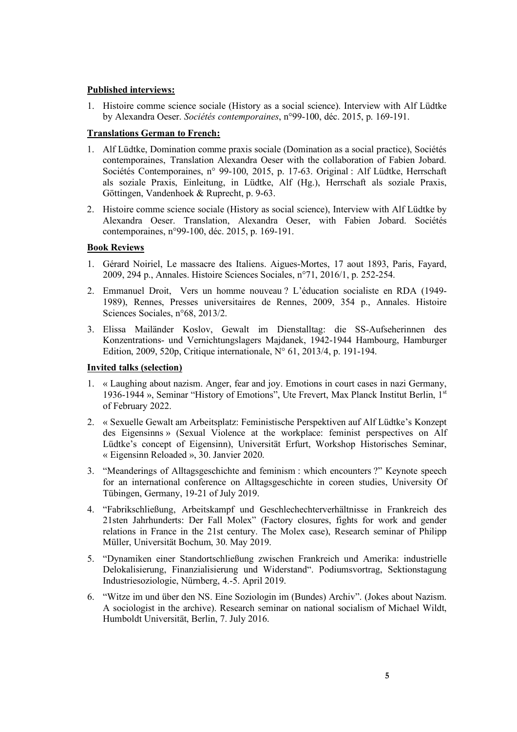### **Published interviews:**

1. Histoire comme science sociale (History as a social science). Interview with Alf Lüdtke by Alexandra Oeser. *Sociétés contemporaines*, n°99-100, déc. 2015, p. 169-191.

# **Translations German to French:**

- 1. Alf Lüdtke, Domination comme praxis sociale (Domination as a social practice), Sociétés contemporaines, Translation Alexandra Oeser with the collaboration of Fabien Jobard. Sociétés Contemporaines, n° 99-100, 2015, p. 17-63. Original : Alf Lüdtke, Herrschaft als soziale Praxis, Einleitung, in Lüdtke, Alf (Hg.), Herrschaft als soziale Praxis, Göttingen, Vandenhoek & Ruprecht, p. 9-63.
- 2. Histoire comme science sociale (History as social science), Interview with Alf Lüdtke by Alexandra Oeser. Translation, Alexandra Oeser, with Fabien Jobard. Sociétés contemporaines, n°99-100, déc. 2015, p. 169-191.

### **Book Reviews**

- 1. Gérard Noiriel, Le massacre des Italiens. Aigues-Mortes, 17 aout 1893, Paris, Fayard, 2009, 294 p., Annales. Histoire Sciences Sociales, n°71, 2016/1, p. 252-254.
- 2. Emmanuel Droit, Vers un homme nouveau ? L'éducation socialiste en RDA (1949- 1989), Rennes, Presses universitaires de Rennes, 2009, 354 p., Annales. Histoire Sciences Sociales, n°68, 2013/2.
- 3. Elissa Mailänder Koslov, Gewalt im Dienstalltag: die SS-Aufseherinnen des Konzentrations- und Vernichtungslagers Majdanek, 1942-1944 Hambourg, Hamburger Edition, 2009, 520p, Critique internationale, N° 61, 2013/4, p. 191-194.

#### **Invited talks (selection)**

- 1. « Laughing about nazism. Anger, fear and joy. Emotions in court cases in nazi Germany, 1936-1944 », Seminar "History of Emotions", Ute Frevert, Max Planck Institut Berlin, 1st of February 2022.
- 2. « Sexuelle Gewalt am Arbeitsplatz: Feministische Perspektiven auf Alf Lüdtke's Konzept des Eigensinns » (Sexual Violence at the workplace: feminist perspectives on Alf Lüdtke's concept of Eigensinn), Universität Erfurt, Workshop Historisches Seminar, « Eigensinn Reloaded », 30. Janvier 2020.
- 3. "Meanderings of Alltagsgeschichte and feminism : which encounters ?" Keynote speech for an international conference on Alltagsgeschichte in coreen studies, University Of Tübingen, Germany, 19-21 of July 2019.
- 4. "Fabrikschließung, Arbeitskampf und Geschlechechterverhältnisse in Frankreich des 21sten Jahrhunderts: Der Fall Molex" (Factory closures, fights for work and gender relations in France in the 21st century. The Molex case), Research seminar of Philipp Müller, Universität Bochum, 30. May 2019.
- 5. "Dynamiken einer Standortschließung zwischen Frankreich und Amerika: industrielle Delokalisierung, Finanzialisierung und Widerstand". Podiumsvortrag, Sektionstagung Industriesoziologie, Nürnberg, 4.-5. April 2019.
- 6. "Witze im und über den NS. Eine Soziologin im (Bundes) Archiv". (Jokes about Nazism. A sociologist in the archive). Research seminar on national socialism of Michael Wildt, Humboldt Universität, Berlin, 7. July 2016.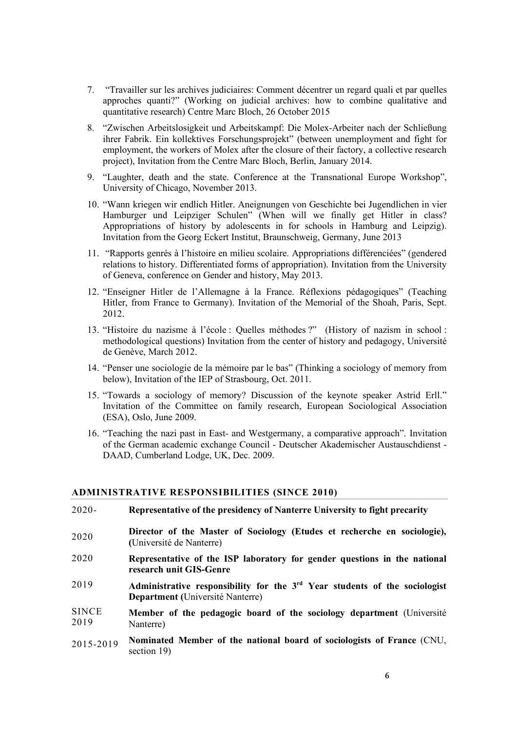- 7. "Travailler sur les archives judiciaires: Comment décentrer un regard quali et par quelles approches quanti?" (Working on judicial archives: how to combine qualitative and quantitative research) Centre Marc Bloch, 26 October 2015
- 8. "Zwischen Arbeitslosigkeit und Arbeitskampf: Die Molex-Arbeiter nach der Schließung ihrer Fabrik. Ein kollektives Forschungsprojekt" (between unemployment and fight for employment, the workers of Molex after the closure of their factory, a collective research project), Invitation from the Centre Marc Bloch, Berlin, January 2014.
- 9. "Laughter, death and the state. Conference at the Transnational Europe Workshop", University of Chicago, November 2013.
- 10. "Wann kriegen wir endlich Hitler. Aneignungen von Geschichte bei Jugendlichen in vier Hamburger und Leipziger Schulen" (When will we finally get Hitler in class? Appropriations of history by adolescents in for schools in Hamburg and Leipzig). Invitation from the Georg Eckert Institut, Braunschweig, Germany, June 2013
- 11. "Rapports genrés à l'histoire en milieu scolaire. Appropriations différenciées" (gendered relations to history. Differentiated forms of appropriation). Invitation from the University of Geneva, conference on Gender and history, May 2013.
- 12. "Enseigner Hitler de l'Allemagne à la France. Réflexions pédagogiques" (Teaching Hitler, from France to Germany). Invitation of the Memorial of the Shoah, Paris, Sept. 2012.
- 13. "Histoire du nazisme à l'école : Quelles méthodes ?" (History of nazism in school : methodological questions) Invitation from the center of history and pedagogy, Université de Genève, March 2012.
- 14. "Penser une sociologie de la mémoire par le bas" (Thinking a sociology of memory from below), Invitation of the IEP of Strasbourg, Oct. 2011.
- 15. "Towards a sociology of memory? Discussion of the keynote speaker Astrid Erll." Invitation of the Committee on family research, European Sociological Association (ESA), Oslo, June 2009.
- 16. "Teaching the nazi past in East- and Westgermany, a comparative approach". Invitation of the German academic exchange Council - Deutscher Akademischer Austauschdienst - DAAD, Cumberland Lodge, UK, Dec. 2009.

#### **ADMINISTRATIVE RESPONSIBILITIES (SINCE 2010)**

- 2020- 2020 2020 2019 SINCE 2019 **Representative of the presidency of Nanterre University to fight precarity Director of the Master of Sociology (Etudes et recherche en sociologie), (**Université de Nanterre) **Representative of the ISP laboratory for gender questions in the national research unit GIS-Genre Administrative responsibility for the 3rd Year students of the sociologist Department (**Université Nanterre) **Member of the pedagogic board of the sociology department** (Université Nanterre) **Nominated Member of the national board of sociologists of France** (CNU,
- 2015-2019 section 19)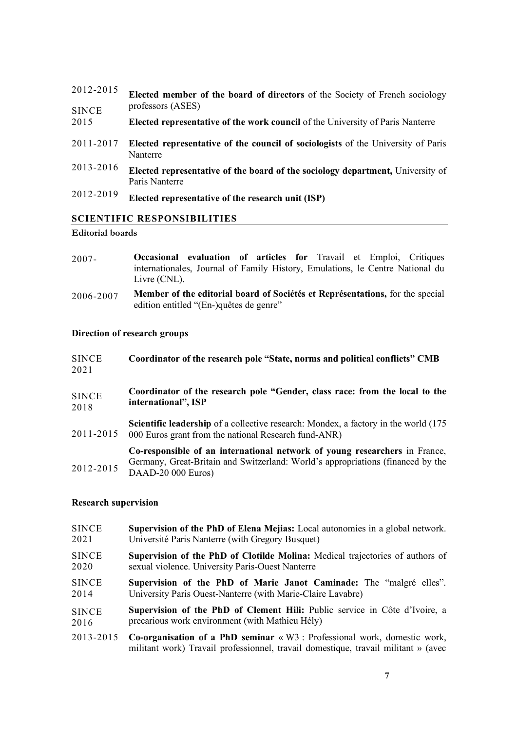| 2012-2015            | Elected member of the board of directors of the Society of French sociology<br>professors (ASES)    |
|----------------------|-----------------------------------------------------------------------------------------------------|
| <b>SINCE</b><br>2015 | <b>Elected representative of the work council of the University of Paris Nanterre</b>               |
| 2011-2017            | <b>Elected representative of the council of sociologists</b> of the University of Paris<br>Nanterre |
| 2013-2016            | Elected representative of the board of the sociology department, University of<br>Paris Nanterre    |
| 2012-2019            | Elected representative of the research unit (ISP)                                                   |

# **SCIENTIFIC RESPONSIBILITIES**

#### **Editorial boards**

- 2007- **Occasional evaluation of articles for** Travail et Emploi, Critiques internationales, Journal of Family History, Emulations, le Centre National du Livre (CNL).
- 2006-2007 **Member of the editorial board of Sociétés et Représentations,** for the special edition entitled "(En-)quêtes de genre"

# **Direction of research groups**

| <b>SINCE</b><br>2021 | Coordinator of the research pole "State, norms and political conflicts" CMB                                                                                                         |
|----------------------|-------------------------------------------------------------------------------------------------------------------------------------------------------------------------------------|
| <b>SINCE</b><br>2018 | Coordinator of the research pole "Gender, class race: from the local to the<br>international", ISP                                                                                  |
| 2011-2015            | <b>Scientific leadership</b> of a collective research: Mondex, a factory in the world (175)<br>000 Euros grant from the national Research fund-ANR)                                 |
| 2012-2015            | Co-responsible of an international network of young researchers in France,<br>Germany, Great-Britain and Switzerland: World's appropriations (financed by the<br>DAAD-20 000 Euros) |

#### **Research supervision**

| <b>SINCE</b> | <b>Supervision of the PhD of Elena Mejias:</b> Local autonomies in a global network.                                                                                                   |
|--------------|----------------------------------------------------------------------------------------------------------------------------------------------------------------------------------------|
| 2021         | Université Paris Nanterre (with Gregory Busquet)                                                                                                                                       |
| <b>SINCE</b> | Supervision of the PhD of Clotilde Molina: Medical trajectories of authors of                                                                                                          |
| 2020         | sexual violence. University Paris-Ouest Nanterre                                                                                                                                       |
| <b>SINCE</b> | Supervision of the PhD of Marie Janot Caminade: The "malgré elles".                                                                                                                    |
| 2014         | University Paris Ouest-Nanterre (with Marie-Claire Lavabre)                                                                                                                            |
| <b>SINCE</b> | Supervision of the PhD of Clement Hili: Public service in Côte d'Ivoire, a                                                                                                             |
| 2016         | precarious work environment (with Mathieu Hély)                                                                                                                                        |
| 2013-2015    | <b>Co-organisation of a PhD seminar</b> $\langle W3 \rangle$ : Professional work, domestic work,<br>militant work) Travail professionnel, travail domestique, travail militant » (avec |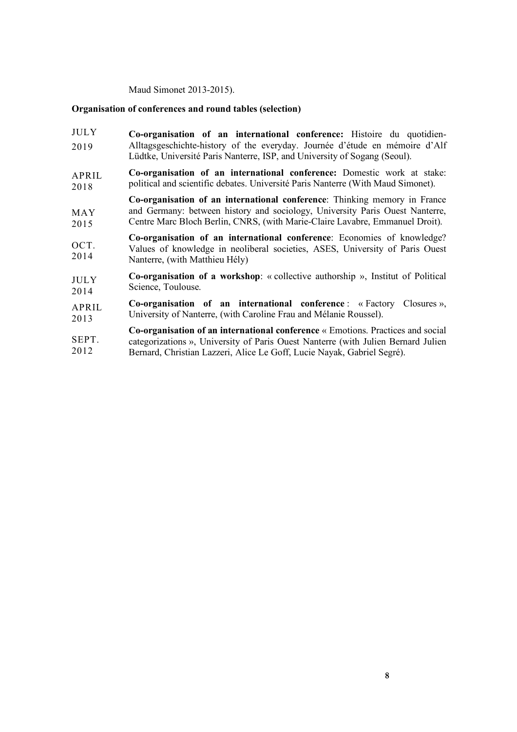Maud Simonet 2013-2015).

#### **Organisation of conferences and round tables (selection)**

- JULY 2019 **Co-organisation of an international conference:** Histoire du quotidien-Alltagsgeschichte-history of the everyday. Journée d'étude en mémoire d'Alf Lüdtke, Université Paris Nanterre, ISP, and University of Sogang (Seoul).
- APRIL 2018 **Co-organisation of an international conference:** Domestic work at stake: political and scientific debates. Université Paris Nanterre (With Maud Simonet).

MAY 2015 **Co-organisation of an international conference**: Thinking memory in France and Germany: between history and sociology, University Paris Ouest Nanterre, Centre Marc Bloch Berlin, CNRS, (with Marie-Claire Lavabre, Emmanuel Droit).

OCT. 2014 **Co-organisation of an international conference**: Economies of knowledge? Values of knowledge in neoliberal societies, ASES, University of Paris Ouest Nanterre, (with Matthieu Hély)

JULY 2014 **Co-organisation of a workshop**: « collective authorship », Institut of Political Science, Toulouse.

APRIL 2013 **Co-organisation of an international conference** : « Factory Closures », University of Nanterre, (with Caroline Frau and Mélanie Roussel).

**SEPT.** 2012 **Co-organisation of an international conference** « Emotions. Practices and social categorizations », University of Paris Ouest Nanterre (with Julien Bernard Julien Bernard, Christian Lazzeri, Alice Le Goff, Lucie Nayak, Gabriel Segré).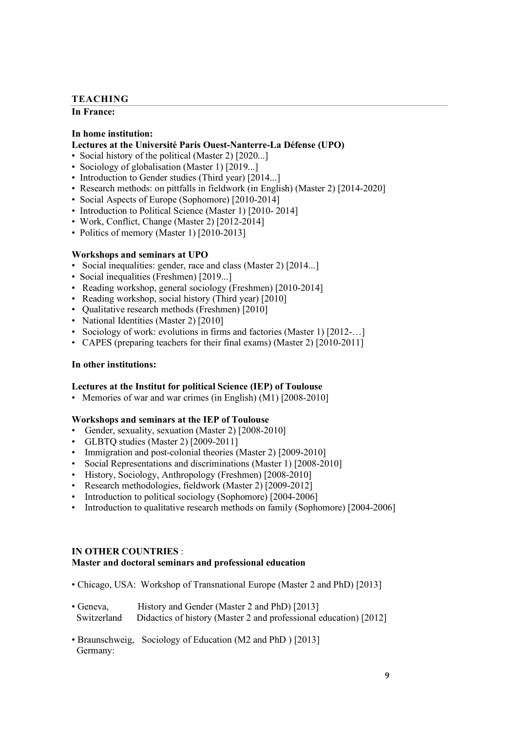#### **TEACHING**

#### **In France:**

#### **In home institution:**

#### **Lectures at the Université Paris Ouest-Nanterre-La Défense (UPO)**

- Social history of the political (Master 2) [2020...]
- Sociology of globalisation (Master 1) [2019...]
- Introduction to Gender studies (Third year) [2014...]
- Research methods: on pittfalls in fieldwork (in English) (Master 2) [2014-2020]
- Social Aspects of Europe (Sophomore) [2010-2014]
- Introduction to Political Science (Master 1) [2010-2014]
- Work, Conflict, Change (Master 2) [2012-2014]
- Politics of memory (Master 1) [2010-2013]

#### **Workshops and seminars at UPO**

- Social inequalities: gender, race and class (Master 2) [2014...]
- Social inequalities (Freshmen) [2019...]
- Reading workshop, general sociology (Freshmen) [2010-2014]
- Reading workshop, social history (Third year) [2010]
- Qualitative research methods (Freshmen) [2010]
- National Identities (Master 2) [2010]
- Sociology of work: evolutions in firms and factories (Master 1) [2012-...]
- CAPES (preparing teachers for their final exams) (Master 2) [2010-2011]

#### **In other institutions:**

#### **Lectures at the Institut for political Science (IEP) of Toulouse**

• Memories of war and war crimes (in English) (M1) [2008-2010]

#### **Workshops and seminars at the IEP of Toulouse**

- Gender, sexuality, sexuation (Master 2) [2008-2010]
- GLBTQ studies (Master 2) [2009-2011]
- Immigration and post-colonial theories (Master 2) [2009-2010]
- Social Representations and discriminations (Master 1) [2008-2010]
- History, Sociology, Anthropology (Freshmen) [2008-2010]
- Research methodologies, fieldwork (Master 2) [2009-2012]
- Introduction to political sociology (Sophomore) [2004-2006]
- Introduction to qualitative research methods on family (Sophomore) [2004-2006]

#### **IN OTHER COUNTRIES** :

#### **Master and doctoral seminars and professional education**

- Chicago, USA: Workshop of Transnational Europe (Master 2 and PhD) [2013]
- Geneva, History and Gender (Master 2 and PhD) [2013]
- Switzerland Didactics of history (Master 2 and professional education) [2012]
- Braunschweig, Sociology of Education (M2 and PhD ) [2013] Germany: